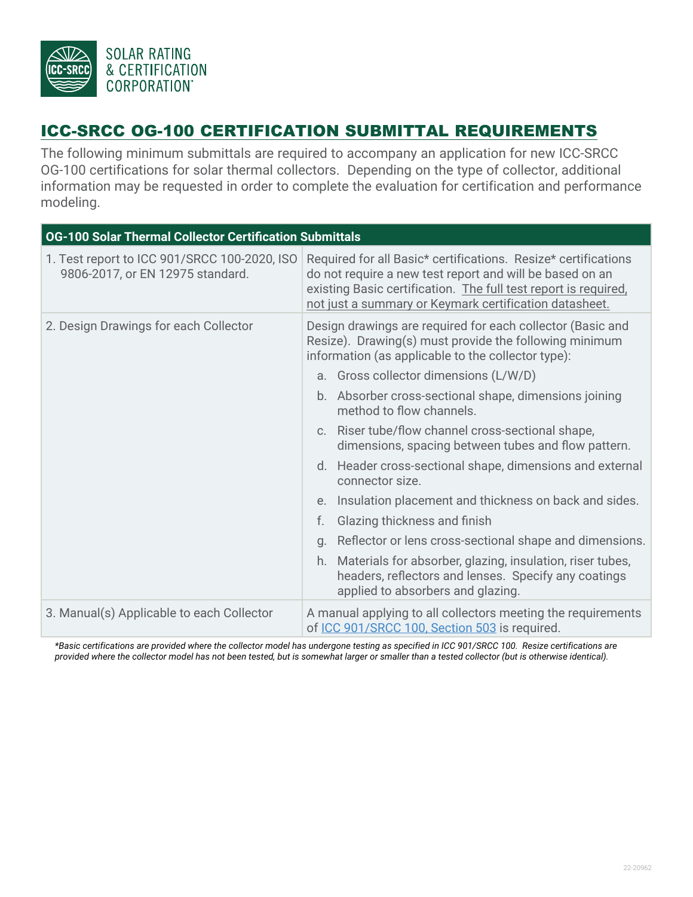

## ICC-SRCC OG-100 CERTIFICATION SUBMITTAL REQUIREMENTS

The following minimum submittals are required to accompany an application for new ICC-SRCC OG-100 certifications for solar thermal collectors. Depending on the type of collector, additional information may be requested in order to complete the evaluation for certification and performance modeling.

| <b>OG-100 Solar Thermal Collector Certification Submittals</b>                   |                                                                                                                                                                                                                                                         |
|----------------------------------------------------------------------------------|---------------------------------------------------------------------------------------------------------------------------------------------------------------------------------------------------------------------------------------------------------|
| 1. Test report to ICC 901/SRCC 100-2020, ISO<br>9806-2017, or EN 12975 standard. | Required for all Basic* certifications. Resize* certifications<br>do not require a new test report and will be based on an<br>existing Basic certification. The full test report is required,<br>not just a summary or Keymark certification datasheet. |
| 2. Design Drawings for each Collector                                            | Design drawings are required for each collector (Basic and<br>Resize). Drawing(s) must provide the following minimum<br>information (as applicable to the collector type):<br>a. Gross collector dimensions (L/W/D)                                     |
|                                                                                  | b. Absorber cross-sectional shape, dimensions joining<br>method to flow channels.                                                                                                                                                                       |
|                                                                                  | c. Riser tube/flow channel cross-sectional shape,<br>dimensions, spacing between tubes and flow pattern.                                                                                                                                                |
|                                                                                  | d. Header cross-sectional shape, dimensions and external<br>connector size.                                                                                                                                                                             |
|                                                                                  | Insulation placement and thickness on back and sides.<br>e.                                                                                                                                                                                             |
|                                                                                  | f.<br>Glazing thickness and finish                                                                                                                                                                                                                      |
|                                                                                  | Reflector or lens cross-sectional shape and dimensions.<br>Q <sub>1</sub>                                                                                                                                                                               |
|                                                                                  | Materials for absorber, glazing, insulation, riser tubes,<br>h.<br>headers, reflectors and lenses. Specify any coatings<br>applied to absorbers and glazing.                                                                                            |
| 3. Manual(s) Applicable to each Collector                                        | A manual applying to all collectors meeting the requirements<br>of ICC 901/SRCC 100, Section 503 is required.                                                                                                                                           |

*\*Basic certifications are provided where the collector model has undergone testing as specified in ICC 901/SRCC 100. Resize certifications are provided where the collector model has not been tested, but is somewhat larger or smaller than a tested collector (but is otherwise identical).*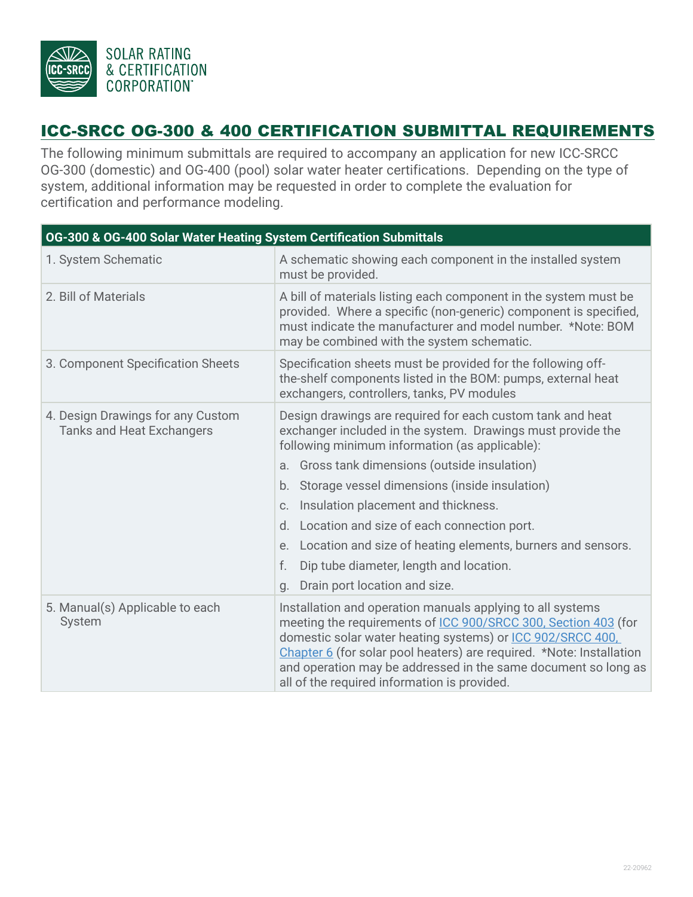

## ICC-SRCC OG-300 & 400 CERTIFICATION SUBMITTAL REQUIREMENTS

The following minimum submittals are required to accompany an application for new ICC-SRCC OG-300 (domestic) and OG-400 (pool) solar water heater certifications. Depending on the type of system, additional information may be requested in order to complete the evaluation for certification and performance modeling.

| OG-300 & OG-400 Solar Water Heating System Certification Submittals   |                                                                                                                                                                                                                                                                                                                                                                                                                                                                                                                                                      |  |
|-----------------------------------------------------------------------|------------------------------------------------------------------------------------------------------------------------------------------------------------------------------------------------------------------------------------------------------------------------------------------------------------------------------------------------------------------------------------------------------------------------------------------------------------------------------------------------------------------------------------------------------|--|
| 1. System Schematic                                                   | A schematic showing each component in the installed system<br>must be provided.                                                                                                                                                                                                                                                                                                                                                                                                                                                                      |  |
| 2. Bill of Materials                                                  | A bill of materials listing each component in the system must be<br>provided. Where a specific (non-generic) component is specified,<br>must indicate the manufacturer and model number. *Note: BOM<br>may be combined with the system schematic.                                                                                                                                                                                                                                                                                                    |  |
| 3. Component Specification Sheets                                     | Specification sheets must be provided for the following off-<br>the-shelf components listed in the BOM: pumps, external heat<br>exchangers, controllers, tanks, PV modules                                                                                                                                                                                                                                                                                                                                                                           |  |
| 4. Design Drawings for any Custom<br><b>Tanks and Heat Exchangers</b> | Design drawings are required for each custom tank and heat<br>exchanger included in the system. Drawings must provide the<br>following minimum information (as applicable):<br>a. Gross tank dimensions (outside insulation)<br>b. Storage vessel dimensions (inside insulation)<br>Insulation placement and thickness.<br>C <sub>1</sub><br>d. Location and size of each connection port.<br>e. Location and size of heating elements, burners and sensors.<br>f.<br>Dip tube diameter, length and location.<br>Drain port location and size.<br>q. |  |
| 5. Manual(s) Applicable to each<br>System                             | Installation and operation manuals applying to all systems<br>meeting the requirements of ICC 900/SRCC 300, Section 403 (for<br>domestic solar water heating systems) or ICC 902/SRCC 400,<br>Chapter 6 (for solar pool heaters) are required. *Note: Installation<br>and operation may be addressed in the same document so long as<br>all of the required information is provided.                                                                                                                                                                 |  |